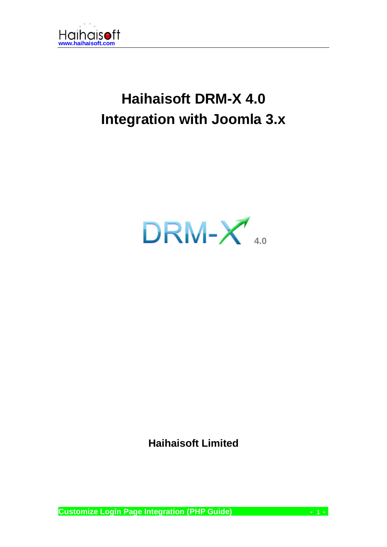

# **Haihaisoft DRM-X 4.0 Integration with Joomla 3.x**

 $DRM-X$ 

**Haihaisoft Limited**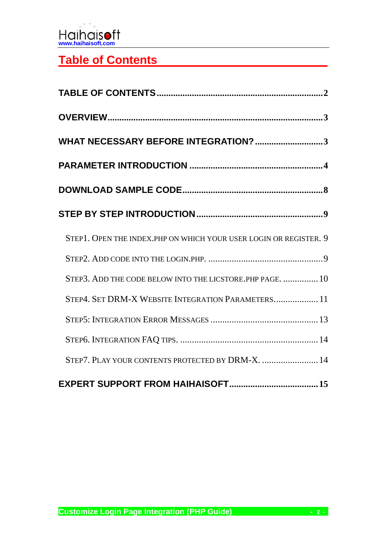

# <span id="page-1-0"></span>**Table of Contents**

| WHAT NECESSARY BEFORE INTEGRATION? 3                              |
|-------------------------------------------------------------------|
|                                                                   |
|                                                                   |
|                                                                   |
| STEP1. OPEN THE INDEX.PHP ON WHICH YOUR USER LOGIN OR REGISTER. 9 |
|                                                                   |
| STEP3. ADD THE CODE BELOW INTO THE LICSTORE. PHP PAGE.  10        |
| STEP4. SET DRM-X WEBSITE INTEGRATION PARAMETERS 11                |
|                                                                   |
|                                                                   |
| STEP7. PLAY YOUR CONTENTS PROTECTED BY DRM-X.  14                 |
|                                                                   |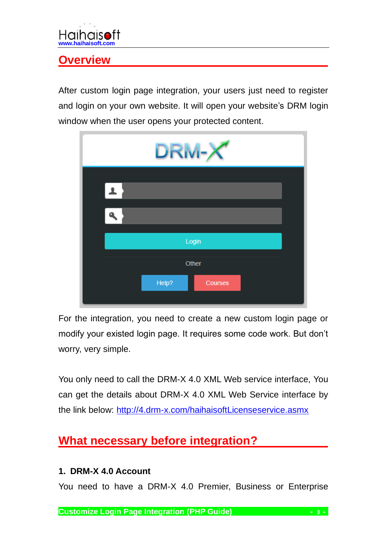# <span id="page-2-0"></span>**Overview**

After custom login page integration, your users just need to register and login on your own website. It will open your website's DRM login window when the user opens your protected content.

| DRM-X            |
|------------------|
| $\mathbf{L}$     |
|                  |
| Login            |
| Other            |
| Help?<br>Courses |

For the integration, you need to create a new custom login page or modify your existed login page. It requires some code work. But don't worry, very simple.

You only need to call the DRM-X 4.0 XML Web service interface, You can get the details about DRM-X 4.0 XML Web Service interface by the link below:<http://4.drm-x.com/haihaisoftLicenseservice.asmx>

# <span id="page-2-1"></span>**What necessary before integration?**

#### **1. DRM-X 4.0 Account**

You need to have a DRM-X 4.0 Premier, Business or Enterprise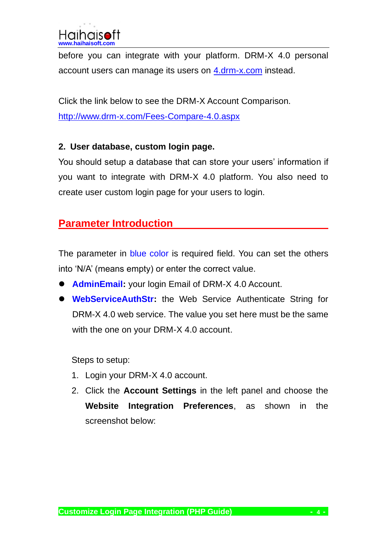before you can integrate with your platform. DRM-X 4.0 personal account users can manage its users on [4.drm-x.com](http://4.drm-x.com/) instead.

Click the link below to see the DRM-X Account Comparison. <http://www.drm-x.com/Fees-Compare-4.0.aspx>

#### **2. User database, custom login page.**

You should setup a database that can store your users' information if you want to integrate with DRM-X 4.0 platform. You also need to create user custom login page for your users to login.

### <span id="page-3-0"></span>**Parameter Introduction**

The parameter in blue color is required field. You can set the others into 'N/A' (means empty) or enter the correct value.

- ⚫ **AdminEmail:** your login Email of DRM-X 4.0 Account.
- ⚫ **WebServiceAuthStr:** the Web Service Authenticate String for DRM-X 4.0 web service. The value you set here must be the same with the one on your DRM-X 4.0 account.

Steps to setup:

- 1. Login your DRM-X 4.0 account.
- 2. Click the **Account Settings** in the left panel and choose the **Website Integration Preferences**, as shown in the screenshot below: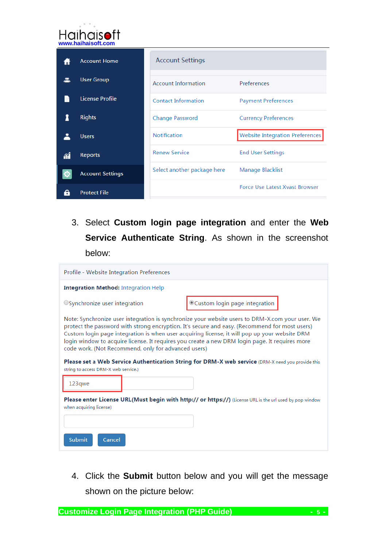| <b>Haihaisoft</b><br>www.haihaisoft.com |                         |                             |                                        |  |
|-----------------------------------------|-------------------------|-----------------------------|----------------------------------------|--|
|                                         | <b>Account Home</b>     | <b>Account Settings</b>     |                                        |  |
|                                         | <b>User Group</b>       | <b>Account Information</b>  | Preferences                            |  |
|                                         | <b>License Profile</b>  | <b>Contact Information</b>  | <b>Payment Preferences</b>             |  |
|                                         | <b>Rights</b>           | <b>Change Password</b>      | <b>Currency Preferences</b>            |  |
|                                         | <b>Users</b>            | <b>Notification</b>         | <b>Website Integration Preferences</b> |  |
| îĺ                                      | <b>Reports</b>          | <b>Renew Service</b>        | <b>End User Settings</b>               |  |
| łО.                                     | <b>Account Settings</b> | Select another package here | Manage Blacklist                       |  |
|                                         | <b>Protect File</b>     |                             | <b>Force Use Latest Xvast Browser</b>  |  |

3. Select **Custom login page integration** and enter the **Web Service Authenticate String**. As shown in the screenshot below:

| Profile - Website Integration Preferences                                                                                                                                                                                                                                                                                                                                                                                                                  |                               |  |  |
|------------------------------------------------------------------------------------------------------------------------------------------------------------------------------------------------------------------------------------------------------------------------------------------------------------------------------------------------------------------------------------------------------------------------------------------------------------|-------------------------------|--|--|
| <b>Integration Method: Integration Help</b>                                                                                                                                                                                                                                                                                                                                                                                                                |                               |  |  |
| OSynchronize user integration                                                                                                                                                                                                                                                                                                                                                                                                                              | Custom login page integration |  |  |
| Note: Synchronize user integration is synchronize your website users to DRM-X.com your user. We<br>protect the password with strong encryption. It's secure and easy. (Recommend for most users)<br>Custom login page integration is when user acquiring license, it will pop up your website DRM<br>login window to acquire license. It requires you create a new DRM login page. It requires more<br>code work. (Not Recommend, only for advanced users) |                               |  |  |
| Please set a Web Service Authentication String for DRM-X web service (DRM-X need you provide this<br>string to access DRM-X web service.)                                                                                                                                                                                                                                                                                                                  |                               |  |  |
| 123qwe                                                                                                                                                                                                                                                                                                                                                                                                                                                     |                               |  |  |
| <b>Please enter License URL(Must begin with http:// or https://)</b> (License URL is the url used by pop window<br>when acquiring license)                                                                                                                                                                                                                                                                                                                 |                               |  |  |
| <b>Submit</b><br>Cancel                                                                                                                                                                                                                                                                                                                                                                                                                                    |                               |  |  |

4. Click the **Submit** button below and you will get the message shown on the picture below: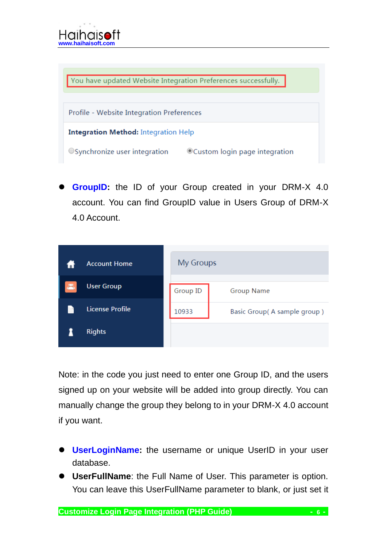You have updated Website Integration Preferences successfully.

Profile - Website Integration Preferences

**Integration Method: Integration Help** 

 $\circ$  Synchronize user integration  $\circ$   $\circ$  Custom login page integration

GroupID: the ID of your Group created in your DRM-X 4.0 account. You can find GroupID value in Users Group of DRM-X 4.0 Account.



Note: in the code you just need to enter one Group ID, and the users signed up on your website will be added into group directly. You can manually change the group they belong to in your DRM-X 4.0 account if you want.

- ⚫ **UserLoginName:** the username or unique UserID in your user database.
- ⚫ **UserFullName**: the Full Name of User. This parameter is option. You can leave this UserFullName parameter to blank, or just set it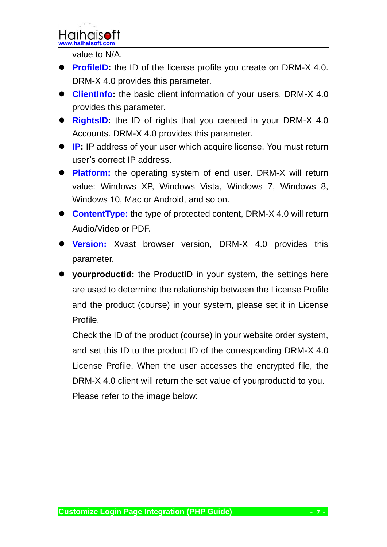

value to N/A.

- **ProfileID:** the ID of the license profile you create on DRM-X 4.0. DRM-X 4.0 provides this parameter.
- ⚫ **ClientInfo:** the basic client information of your users. DRM-X 4.0 provides this parameter.
- ⚫ **RightsID:** the ID of rights that you created in your DRM-X 4.0 Accounts. DRM-X 4.0 provides this parameter.
- **IP:** IP address of your user which acquire license. You must return user's correct IP address.
- ⚫ **Platform:** the operating system of end user. DRM-X will return value: Windows XP, Windows Vista, Windows 7, Windows 8, Windows 10, Mac or Android, and so on.
- **ContentType:** the type of protected content, DRM-X 4.0 will return Audio/Video or PDF.
- ⚫ **Version:** Xvast browser version, DRM-X 4.0 provides this parameter.
- ⚫ **yourproductid:** the ProductID in your system, the settings here are used to determine the relationship between the License Profile and the product (course) in your system, please set it in License Profile.

Check the ID of the product (course) in your website order system, and set this ID to the product ID of the corresponding DRM-X 4.0 License Profile. When the user accesses the encrypted file, the DRM-X 4.0 client will return the set value of yourproductid to you. Please refer to the image below: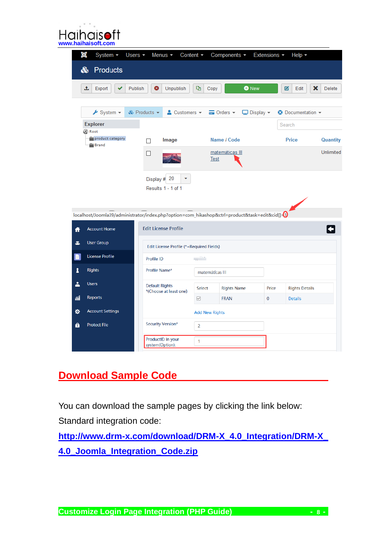|    | $i$ hais $\bullet$ ft<br>www.haihaisoft.com        |                                                 |                                                                                                 |                        |                       |                 |
|----|----------------------------------------------------|-------------------------------------------------|-------------------------------------------------------------------------------------------------|------------------------|-----------------------|-----------------|
|    | ×<br>System $\sim$<br>Products<br>ఊ                | Users $\sim$<br>Menus $\sim$                    | Content $\sim$<br>Components -                                                                  | Extensions -           | Help $\sim$           |                 |
|    | ±<br>Export                                        | ❸<br>Publish<br><b>Unpublish</b>                | Þ<br><b>O</b> New<br>Copy                                                                       |                        | 図<br>Edit             | ×<br>Delete     |
|    | $\blacktriangleright$ System $\blacktriangleright$ | & Products -<br>$\triangle$ Customers $\sim$    | $\equiv$ Orders $\sim$                                                                          | $\Box$ Display $\star$ | O Documentation -     |                 |
|    | <b>Explorer</b><br><b>B</b> Root                   |                                                 |                                                                                                 |                        | Search                |                 |
|    | product category<br>Brand                          | Image<br>П                                      | Name / Code                                                                                     |                        | Price                 | <b>Quantity</b> |
|    |                                                    | □                                               | matemáticas III<br><b>Test</b>                                                                  |                        |                       | Unlimited       |
|    |                                                    | Display # 20<br>Results 1 - 1 of 1              |                                                                                                 |                        |                       |                 |
|    |                                                    |                                                 | localhost/Joomla39/administrator/index.php?option=com_hikashop&ctrl=product&task=edit&cid[]-(1) |                        |                       |                 |
| A  | <b>Account Home</b>                                | <b>Edit License Profile</b>                     |                                                                                                 |                        |                       |                 |
| 2  | <b>User Group</b>                                  | Edit License Profile (*=Required Fields)        |                                                                                                 |                        |                       |                 |
| B  | <b>License Profile</b>                             | Profile ID                                      | an in                                                                                           |                        |                       |                 |
| 1  | <b>Rights</b>                                      | Profile Name*                                   | matemáticas III                                                                                 |                        |                       |                 |
| 2  | <b>Users</b>                                       | <b>Default Rights</b><br>*(Choose at least one) | Select<br><b>Rights Name</b>                                                                    | Price                  | <b>Rights Details</b> |                 |
| íí | Reports                                            |                                                 | <b>FRAN</b><br>☑                                                                                | $\bf{0}$               | <b>Details</b>        |                 |
| ۰  | <b>Account Settings</b>                            |                                                 | <b>Add New Rights</b>                                                                           |                        |                       |                 |
| θ  | <b>Protect File</b>                                | Security Version*                               | $\overline{2}$                                                                                  |                        |                       |                 |
|    |                                                    | ProductID in your<br>system(Option):            | 1                                                                                               |                        |                       |                 |

### <span id="page-7-0"></span>**Download Sample Code**

You can download the sample pages by clicking the link below: Standard integration code:

**[http://www.drm-x.com/download/DRM-X\\_4.0\\_Integration/DRM-X\\_](http://www.drm-x.com/download/DRM-X_4.0_Integration/DRM-X_4.0_Joomla_Integration_Code.zip) [4.0\\_Joomla\\_Integration\\_Code.zip](http://www.drm-x.com/download/DRM-X_4.0_Integration/DRM-X_4.0_Joomla_Integration_Code.zip)**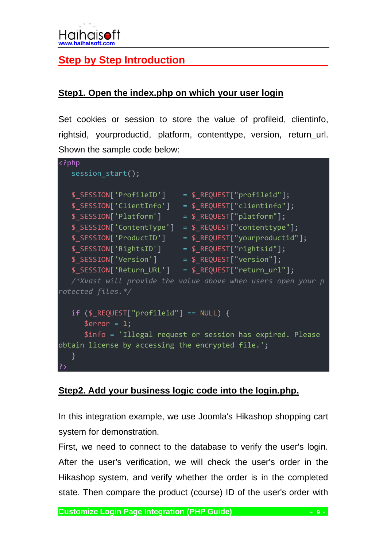### <span id="page-8-0"></span>**Step by Step Introduction**

#### <span id="page-8-1"></span>**Step1. Open the index.php on which your user login**

Set cookies or session to store the value of profileid, clientinfo, rightsid, yourproductid, platform, contenttype, version, return\_url. Shown the sample code below:

```
<?php
   session start();
   $ SESSION['ProfileID'] = $ REQUEST["profileid"];
   $_SESSION['ClientInfo'] = $_REQUEST["clientinfo"];
   $_SESSION['Platform'] = $_REQUEST["platform"];
   $_SESSION['ContentType'] = $_REQUEST["contenttype"];
  $ SESSION['ProductID'] = $ REQUEST["yourproductid"];
   $ SESSION['RightsID'] = $ REQUEST["rightsid"];
  \overline{\text{S}} SESSION['Version'] = \overline{\text{S}} REQUEST["version"];
   $ SESSION['Return URL'] = $ REQUEST["return url"];
   /*Xvast will provide the value above when users open your p
rotected files.*/
   if ($_REQUEST["profileid"] == NULL) {
      $error = 1;
      $info = 'Illegal request or session has expired. Please
obtain license by accessing the encrypted file.';
   }
?>
```
#### **Step2. Add your business logic code into the login.php.**

In this integration example, we use Joomla's Hikashop shopping cart system for demonstration.

First, we need to connect to the database to verify the user's login. After the user's verification, we will check the user's order in the Hikashop system, and verify whether the order is in the completed state. Then compare the product (course) ID of the user's order with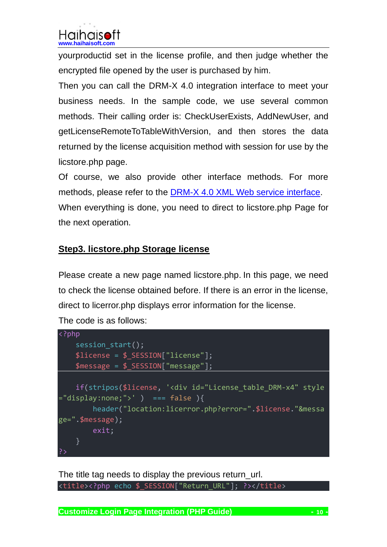yourproductid set in the license profile, and then judge whether the encrypted file opened by the user is purchased by him.

Then you can call the DRM-X 4.0 integration interface to meet your business needs. In the sample code, we use several common methods. Their calling order is: CheckUserExists, AddNewUser, and getLicenseRemoteToTableWithVersion, and then stores the data returned by the license acquisition method with session for use by the licstore.php page.

Of course, we also provide other interface methods. For more methods, please refer to the DRM-X 4.0 [XML Web service interface.](http://4.drm-x.com/haihaisoftLicenseservice.asmx) When everything is done, you need to direct to licstore.php Page for the next operation.

### <span id="page-9-0"></span>**Step3. licstore.php Storage license**

Please create a new page named licstore.php. In this page, we need to check the license obtained before. If there is an error in the license, direct to licerror.php displays error information for the license.

```
The code is as follows:
```

```
<?php
    session start();
    $license = $_SESSION["license"];
    $message = $_SESSION["message"];
    if(stripos($license, '<div id="License_table_DRM-x4" style
="display:none;">' ) === false ){
        header("location:licerror.php?error=".$license."&messa
ge=".$message);
        exit;
    }
```
The title tag needs to display the previous return url. <title><?php echo \$\_SESSION["Return\_URL"]; ?></title>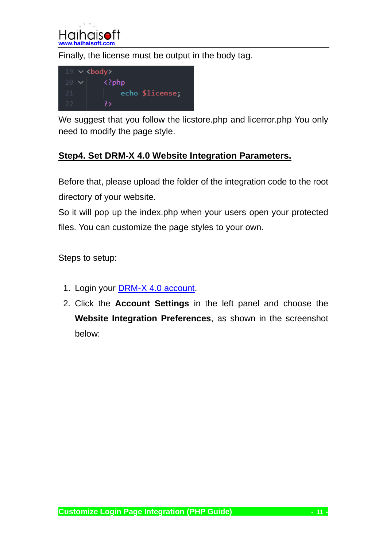

Finally, the license must be output in the body tag.



We suggest that you follow the licstore.php and licerror.php You only need to modify the page style.

#### <span id="page-10-0"></span>**Step4. Set DRM-X 4.0 Website Integration Parameters.**

Before that, please upload the folder of the integration code to the root directory of your website.

So it will pop up the index.php when your users open your protected files. You can customize the page styles to your own.

Steps to setup:

- 1. Login your **DRM-X 4.0 account**.
- 2. Click the **Account Settings** in the left panel and choose the **Website Integration Preferences**, as shown in the screenshot below: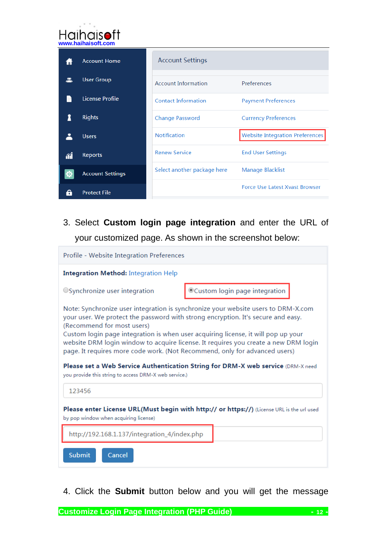|         | Haihaisoft<br>www.haihaisoft.com |                             |                                        |
|---------|----------------------------------|-----------------------------|----------------------------------------|
|         | <b>Account Home</b>              | <b>Account Settings</b>     |                                        |
|         | <b>User Group</b>                | <b>Account Information</b>  | Preferences                            |
|         | <b>License Profile</b>           | <b>Contact Information</b>  | <b>Payment Preferences</b>             |
|         | <b>Rights</b>                    | <b>Change Password</b>      | <b>Currency Preferences</b>            |
|         | <b>Users</b>                     | <b>Notification</b>         | <b>Website Integration Preferences</b> |
| ΛÎ      | <b>Reports</b>                   | <b>Renew Service</b>        | <b>End User Settings</b>               |
|         | <b>Account Settings</b>          | Select another package here | Manage Blacklist                       |
| $\cdot$ | <b>Protect File</b>              |                             | Force Use Latest Xvast Browser         |

3. Select **Custom login page integration** and enter the URL of your customized page. As shown in the screenshot below:

| Profile - Website Integration Preferences                                                                                                                                                                                                                                                                                                                                                                                                                                                                                                                                                                  |                               |  |  |
|------------------------------------------------------------------------------------------------------------------------------------------------------------------------------------------------------------------------------------------------------------------------------------------------------------------------------------------------------------------------------------------------------------------------------------------------------------------------------------------------------------------------------------------------------------------------------------------------------------|-------------------------------|--|--|
| <b>Integration Method: Integration Help</b>                                                                                                                                                                                                                                                                                                                                                                                                                                                                                                                                                                |                               |  |  |
| OSynchronize user integration                                                                                                                                                                                                                                                                                                                                                                                                                                                                                                                                                                              | Custom login page integration |  |  |
| Note: Synchronize user integration is synchronize your website users to DRM-X.com<br>your user. We protect the password with strong encryption. It's secure and easy.<br>(Recommend for most users)<br>Custom login page integration is when user acquiring license, it will pop up your<br>website DRM login window to acquire license. It requires you create a new DRM login<br>page. It requires more code work. (Not Recommend, only for advanced users)<br>Please set a Web Service Authentication String for DRM-X web service (DRM-X need<br>you provide this string to access DRM-X web service.) |                               |  |  |
| 123456                                                                                                                                                                                                                                                                                                                                                                                                                                                                                                                                                                                                     |                               |  |  |
| Please enter License URL(Must begin with http:// or https://) (License URL is the url used<br>by pop window when acquiring license)                                                                                                                                                                                                                                                                                                                                                                                                                                                                        |                               |  |  |
| http://192.168.1.137/integration_4/index.php                                                                                                                                                                                                                                                                                                                                                                                                                                                                                                                                                               |                               |  |  |
| <b>Submit</b><br>Cancel                                                                                                                                                                                                                                                                                                                                                                                                                                                                                                                                                                                    |                               |  |  |

4. Click the **Submit** button below and you will get the message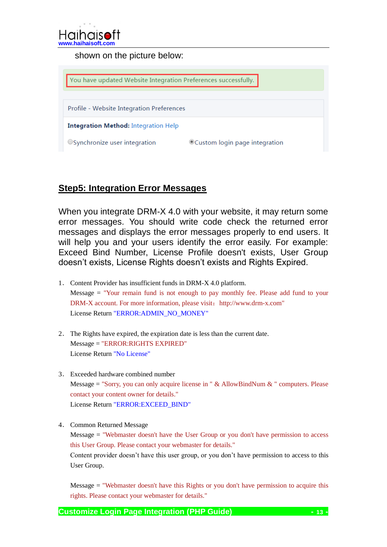

shown on the picture below:



#### <span id="page-12-0"></span>**Step5: Integration Error Messages**

When you integrate DRM-X 4.0 with your website, it may return some error messages. You should write code check the returned error messages and displays the error messages properly to end users. It will help you and your users identify the error easily. For example: Exceed Bind Number, License Profile doesn't exists, User Group doesn't exists, License Rights doesn't exists and Rights Expired.

- 1. Content Provider has insufficient funds in DRM-X 4.0 platform. Message = "Your remain fund is not enough to pay monthly fee. Please add fund to your DRM-X account. For more information, please visit: http://www.drm-x.com" License Return "ERROR:ADMIN\_NO\_MONEY"
- 2. The Rights have expired, the expiration date is less than the current date. Message = "ERROR:RIGHTS EXPIRED" License Return "No License"
- 3. Exceeded hardware combined number Message = "Sorry, you can only acquire license in "  $&$  AllowBindNum  $&$  " computers. Please contact your content owner for details." License Return "ERROR:EXCEED\_BIND"

4. Common Returned Message Message = "Webmaster doesn't have the User Group or you don't have permission to access this User Group. Please contact your webmaster for details." Content provider doesn't have this user group, or you don't have permission to access to this User Group.

Message = "Webmaster doesn't have this Rights or you don't have permission to acquire this rights. Please contact your webmaster for details."

**Customize Login Page Integration (PHP Guide) - 13 -**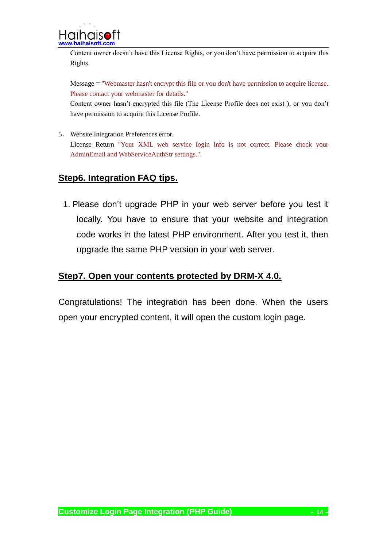Content owner doesn't have this License Rights, or you don't have permission to acquire this Rights.

Message = "Webmaster hasn't encrypt this file or you don't have permission to acquire license. Please contact your webmaster for details."

Content owner hasn't encrypted this file (The License Profile does not exist ), or you don't have permission to acquire this License Profile.

5. Website Integration Preferences error. License Return "Your XML web service login info is not correct. Please check your AdminEmail and WebServiceAuthStr settings.".

### <span id="page-13-0"></span>**Step6. Integration FAQ tips.**

1. Please don't upgrade PHP in your web server before you test it locally. You have to ensure that your website and integration code works in the latest PHP environment. After you test it, then upgrade the same PHP version in your web server.

#### <span id="page-13-1"></span>**Step7. Open your contents protected by DRM-X 4.0.**

Congratulations! The integration has been done. When the users open your encrypted content, it will open the custom login page.